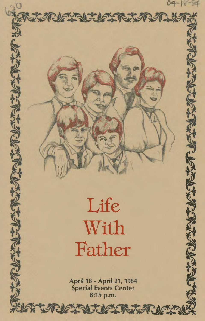$8 - 90$ 

شارد اکتوندا کیمنا

 $0.3902$ 

## Life With Father

**ARGEILIGHT** 

April 18 - April 21, 1984 **Special Events Center** 8:15 p.m.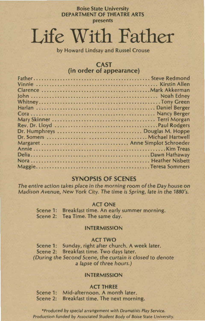#### Boise State University DEPARTMENT OF THEATRE ARTS presents

# Life With Father

by Howard Lindsay and Russel Crouse

## CAST (in order of appearance)

## SYNOPSIS OF SCENES

The entire action takes place in the morning room of the Day house on Madison Avenue, New York City. The time is Spring, late in the 1880's.

#### ACT ONE

Scene 1: Breakfast time. An early summer morning. Scene 2: Tea Time. The same day.

#### INTERMISSION

#### ACT TWO

Scene 1: Sunday, right after church. A week later. Scene 2: Breakfast time. Two days later. (During the Second Scene, the curtain is closed to denote a lapse of three hours.)

#### INTERMISSION

#### ACT THREE

Scene 1: Mid-afternoon. A month later. Scene 2: Breakfast time. The next morning.

•Produced by special arrangement with Dramatists Play Service. Production funded by Associated Student Body of Boise State University.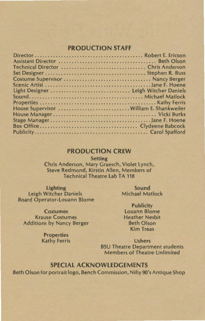## **PRODUCTION STAFF**

| Light Designer  Leigh Witcher Daniels    |
|------------------------------------------|
|                                          |
|                                          |
| House Supervisor  William E. Shankweiler |
|                                          |
|                                          |
|                                          |
|                                          |
|                                          |

#### **PRODUCTION CREW**

**Setting** 

Chris Anderson, Mary Graesch, Violet Lynch, Steve Redmond, Kirstin Allen, Members of Technical Theatre Lab TA 118

Lighting Leigh Witcher Daniels Board Operator-Louann Blome

Sound Michael Matlock

**Costumes** Krause Costumes Additions by Nancy Berger

**Publicity** Louann Blome Heather Nesbit Beth Olson Kim Treas

**Properties** Kathy Ferris

Ushers BSU Theatre Department students Members of Theatre Unlimited

## **SPECIAL ACKNOWLEDGEMENTS**

Beth Olson for portrait logo, Bench Commission, Nifty *90's* Antique Shop